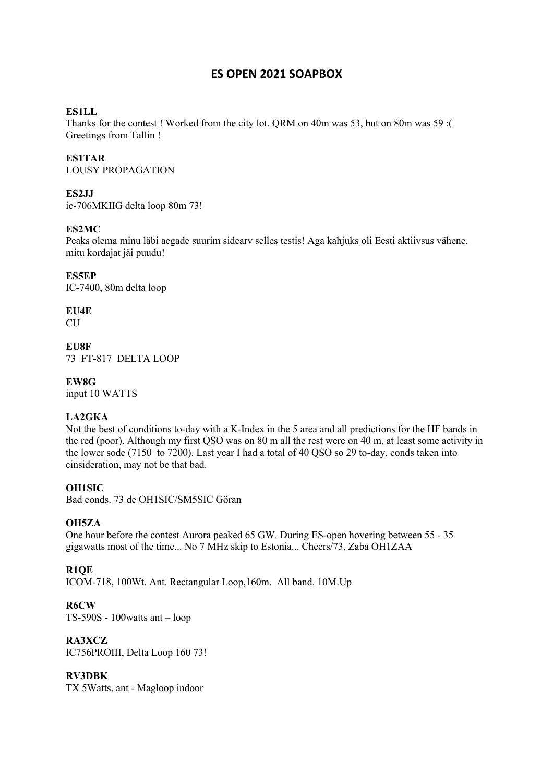# **ES OPEN 2021 SOAPBOX**

# **ES1LL**

Thanks for the contest ! Worked from the city lot. QRM on 40m was 53, but on 80m was 59 :( Greetings from Tallin !

## **ES1TAR**

LOUSY PROPAGATION

#### **ES2JJ**

ic-706MKIIG delta loop 80m 73!

## **ES2MC**

Peaks olema minu läbi aegade suurim sidearv selles testis! Aga kahjuks oli Eesti aktiivsus vähene, mitu kordajat jäi puudu!

**ES5EP** IC-7400, 80m delta loop

**EU4E**  $CIJ$ 

**EU8F** 73 FT-817 DELTA LOOP

#### **EW8G**

input 10 WATTS

# **LA2GKA**

Not the best of conditions to-day with a K-Index in the 5 area and all predictions for the HF bands in the red (poor). Although my first QSO was on 80 m all the rest were on 40 m, at least some activity in the lower sode (7150 to 7200). Last year I had a total of 40 QSO so 29 to-day, conds taken into cinsideration, may not be that bad.

#### **OH1SIC**

Bad conds. 73 de OH1SIC/SM5SIC Göran

#### **OH5ZA**

One hour before the contest Aurora peaked 65 GW. During ES-open hovering between 55 - 35 gigawatts most of the time... No 7 MHz skip to Estonia... Cheers/73, Zaba OH1ZAA

#### **R1QE**

ICOM-718, 100Wt. Ant. Rectangular Loop,160m. All band. 10M.Up

#### **R6CW**

TS-590S - 100watts ant – loop

#### **RA3XCZ**

IC756PROIII, Delta Loop 160 73!

#### **RV3DBK**

TX 5Watts, ant - Magloop indoor